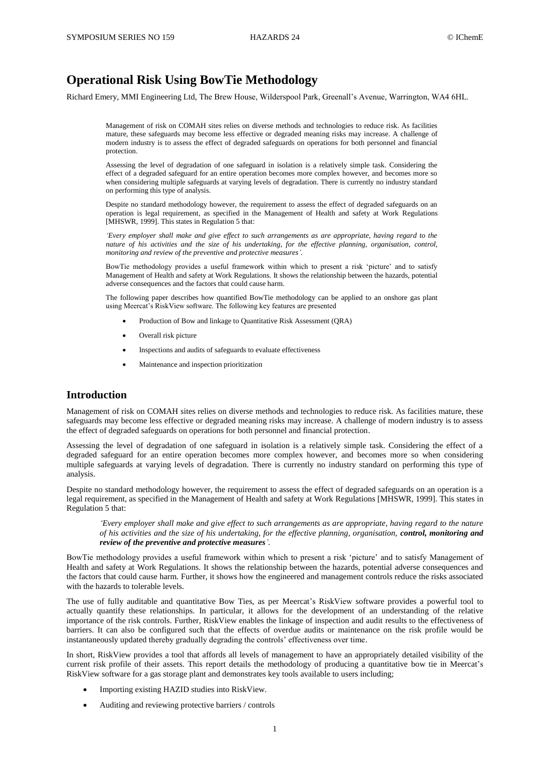# **Operational Risk Using BowTie Methodology**

Richard Emery, MMI Engineering Ltd, The Brew House, Wilderspool Park, Greenall's Avenue, Warrington, WA4 6HL.

Management of risk on COMAH sites relies on diverse methods and technologies to reduce risk. As facilities mature, these safeguards may become less effective or degraded meaning risks may increase. A challenge of modern industry is to assess the effect of degraded safeguards on operations for both personnel and financial protection.

Assessing the level of degradation of one safeguard in isolation is a relatively simple task. Considering the effect of a degraded safeguard for an entire operation becomes more complex however, and becomes more so when considering multiple safeguards at varying levels of degradation. There is currently no industry standard on performing this type of analysis.

Despite no standard methodology however, the requirement to assess the effect of degraded safeguards on an operation is legal requirement, as specified in the Management of Health and safety at Work Regulations [MHSWR, 1999]. This states in Regulation 5 that:

*'Every employer shall make and give effect to such arrangements as are appropriate, having regard to the nature of his activities and the size of his undertaking, for the effective planning, organisation, control, monitoring and review of the preventive and protective measures'.* 

BowTie methodology provides a useful framework within which to present a risk 'picture' and to satisfy Management of Health and safety at Work Regulations. It shows the relationship between the hazards, potential adverse consequences and the factors that could cause harm.

The following paper describes how quantified BowTie methodology can be applied to an onshore gas plant using Meercat's RiskView software. The following key features are presented

- Production of Bow and linkage to Quantitative Risk Assessment (QRA)
- Overall risk picture
- Inspections and audits of safeguards to evaluate effectiveness
- Maintenance and inspection prioritization

# **Introduction**

Management of risk on COMAH sites relies on diverse methods and technologies to reduce risk. As facilities mature, these safeguards may become less effective or degraded meaning risks may increase. A challenge of modern industry is to assess the effect of degraded safeguards on operations for both personnel and financial protection.

Assessing the level of degradation of one safeguard in isolation is a relatively simple task. Considering the effect of a degraded safeguard for an entire operation becomes more complex however, and becomes more so when considering multiple safeguards at varying levels of degradation. There is currently no industry standard on performing this type of analysis.

Despite no standard methodology however, the requirement to assess the effect of degraded safeguards on an operation is a legal requirement, as specified in the Management of Health and safety at Work Regulations [MHSWR, 1999]. This states in Regulation 5 that:

*'Every employer shall make and give effect to such arrangements as are appropriate, having regard to the nature of his activities and the size of his undertaking, for the effective planning, organisation, control, monitoring and review of the preventive and protective measures'.* 

BowTie methodology provides a useful framework within which to present a risk 'picture' and to satisfy Management of Health and safety at Work Regulations. It shows the relationship between the hazards, potential adverse consequences and the factors that could cause harm. Further, it shows how the engineered and management controls reduce the risks associated with the hazards to tolerable levels.

The use of fully auditable and quantitative Bow Ties, as per Meercat's RiskView software provides a powerful tool to actually quantify these relationships. In particular, it allows for the development of an understanding of the relative importance of the risk controls. Further, RiskView enables the linkage of inspection and audit results to the effectiveness of barriers. It can also be configured such that the effects of overdue audits or maintenance on the risk profile would be instantaneously updated thereby gradually degrading the controls' effectiveness over time.

In short, RiskView provides a tool that affords all levels of management to have an appropriately detailed visibility of the current risk profile of their assets. This report details the methodology of producing a quantitative bow tie in Meercat's RiskView software for a gas storage plant and demonstrates key tools available to users including;

- Importing existing HAZID studies into RiskView.
- Auditing and reviewing protective barriers / controls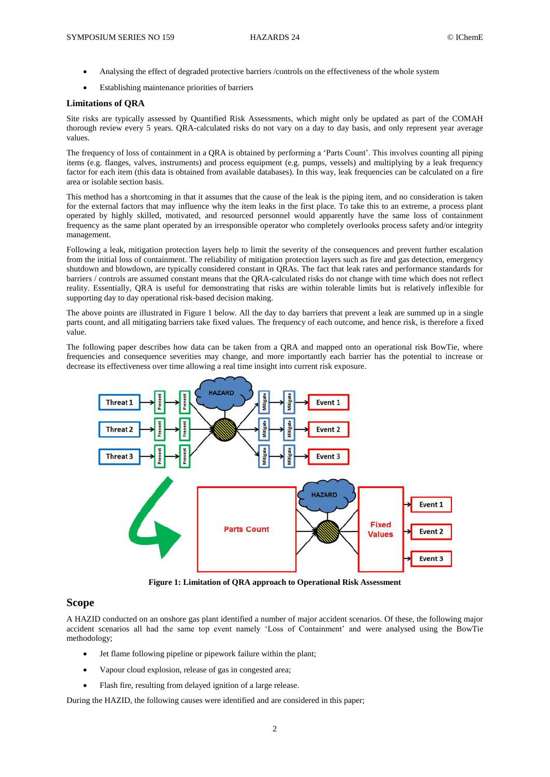- Analysing the effect of degraded protective barriers /controls on the effectiveness of the whole system
- Establishing maintenance priorities of barriers

### **Limitations of QRA**

Site risks are typically assessed by Quantified Risk Assessments, which might only be updated as part of the COMAH thorough review every 5 years. QRA-calculated risks do not vary on a day to day basis, and only represent year average values.

The frequency of loss of containment in a QRA is obtained by performing a 'Parts Count'. This involves counting all piping items (e.g. flanges, valves, instruments) and process equipment (e.g. pumps, vessels) and multiplying by a leak frequency factor for each item (this data is obtained from available databases). In this way, leak frequencies can be calculated on a fire area or isolable section basis.

This method has a shortcoming in that it assumes that the cause of the leak is the piping item, and no consideration is taken for the external factors that may influence why the item leaks in the first place. To take this to an extreme, a process plant operated by highly skilled, motivated, and resourced personnel would apparently have the same loss of containment frequency as the same plant operated by an irresponsible operator who completely overlooks process safety and/or integrity management.

Following a leak, mitigation protection layers help to limit the severity of the consequences and prevent further escalation from the initial loss of containment. The reliability of mitigation protection layers such as fire and gas detection, emergency shutdown and blowdown, are typically considered constant in QRAs. The fact that leak rates and performance standards for barriers / controls are assumed constant means that the QRA-calculated risks do not change with time which does not reflect reality. Essentially, QRA is useful for demonstrating that risks are within tolerable limits but is relatively inflexible for supporting day to day operational risk-based decision making.

The above points are illustrated in Figure 1 below. All the day to day barriers that prevent a leak are summed up in a single parts count, and all mitigating barriers take fixed values. The frequency of each outcome, and hence risk, is therefore a fixed value.

The following paper describes how data can be taken from a QRA and mapped onto an operational risk BowTie, where frequencies and consequence severities may change, and more importantly each barrier has the potential to increase or decrease its effectiveness over time allowing a real time insight into current risk exposure.



**Figure 1: Limitation of QRA approach to Operational Risk Assessment**

# **Scope**

A HAZID conducted on an onshore gas plant identified a number of major accident scenarios. Of these, the following major accident scenarios all had the same top event namely 'Loss of Containment' and were analysed using the BowTie methodology;

- Jet flame following pipeline or pipework failure within the plant;
- Vapour cloud explosion, release of gas in congested area;
- Flash fire, resulting from delayed ignition of a large release.

During the HAZID, the following causes were identified and are considered in this paper;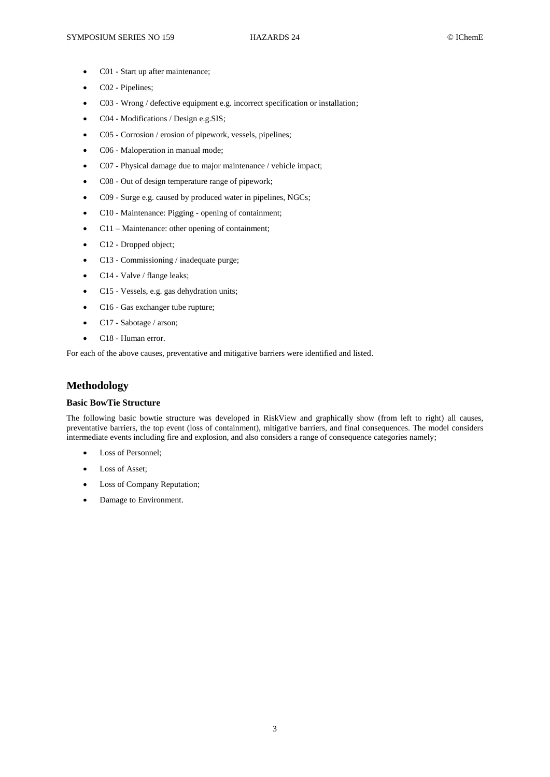- C01 Start up after maintenance;
- C02 Pipelines;
- C03 Wrong / defective equipment e.g. incorrect specification or installation;
- C04 Modifications / Design e.g.SIS;
- C05 Corrosion / erosion of pipework, vessels, pipelines;
- C06 Maloperation in manual mode;
- C07 Physical damage due to major maintenance / vehicle impact;
- C08 Out of design temperature range of pipework;
- C09 Surge e.g. caused by produced water in pipelines, NGCs;
- C10 Maintenance: Pigging opening of containment;
- C11 Maintenance: other opening of containment;
- C12 Dropped object;
- C13 Commissioning / inadequate purge;
- C14 Valve / flange leaks;
- C15 Vessels, e.g. gas dehydration units;
- C16 Gas exchanger tube rupture;
- C17 Sabotage / arson;
- C18 Human error.

For each of the above causes, preventative and mitigative barriers were identified and listed.

# **Methodology**

## **Basic BowTie Structure**

The following basic bowtie structure was developed in RiskView and graphically show (from left to right) all causes, preventative barriers, the top event (loss of containment), mitigative barriers, and final consequences. The model considers intermediate events including fire and explosion, and also considers a range of consequence categories namely;

- Loss of Personnel;
- Loss of Asset;
- Loss of Company Reputation;
- Damage to Environment.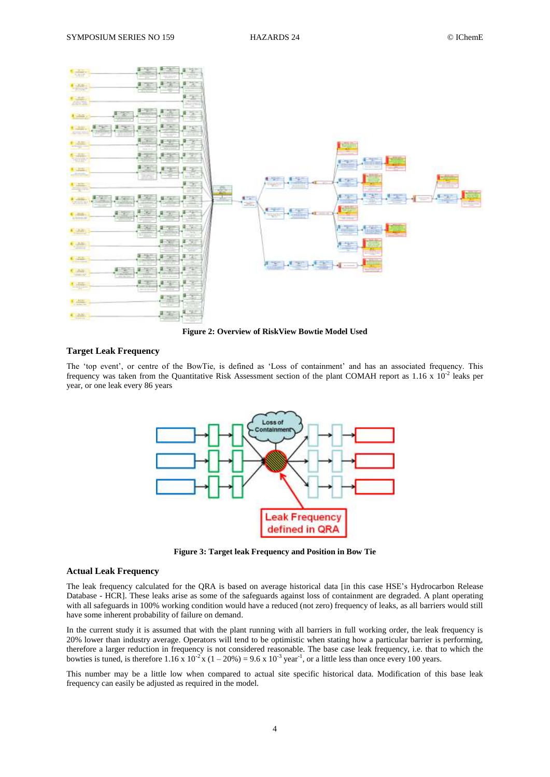

**Figure 2: Overview of RiskView Bowtie Model Used**

## **Target Leak Frequency**

The 'top event', or centre of the BowTie, is defined as 'Loss of containment' and has an associated frequency. This frequency was taken from the Quantitative Risk Assessment section of the plant COMAH report as  $1.16 \times 10^{-2}$  leaks per year, or one leak every 86 years



**Figure 3: Target leak Frequency and Position in Bow Tie**

## **Actual Leak Frequency**

The leak frequency calculated for the QRA is based on average historical data [in this case HSE's Hydrocarbon Release Database - HCR]. These leaks arise as some of the safeguards against loss of containment are degraded. A plant operating with all safeguards in 100% working condition would have a reduced (not zero) frequency of leaks, as all barriers would still have some inherent probability of failure on demand.

In the current study it is assumed that with the plant running with all barriers in full working order, the leak frequency is 20% lower than industry average. Operators will tend to be optimistic when stating how a particular barrier is performing, therefore a larger reduction in frequency is not considered reasonable. The base case leak frequency, i.e. that to which the bowties is tuned, is therefore  $1.16 \times 10^{-2} \times (1-20\%) = 9.6 \times 10^{-3}$  year<sup>-1</sup>, or a little less than once every 100 years.

This number may be a little low when compared to actual site specific historical data. Modification of this base leak frequency can easily be adjusted as required in the model.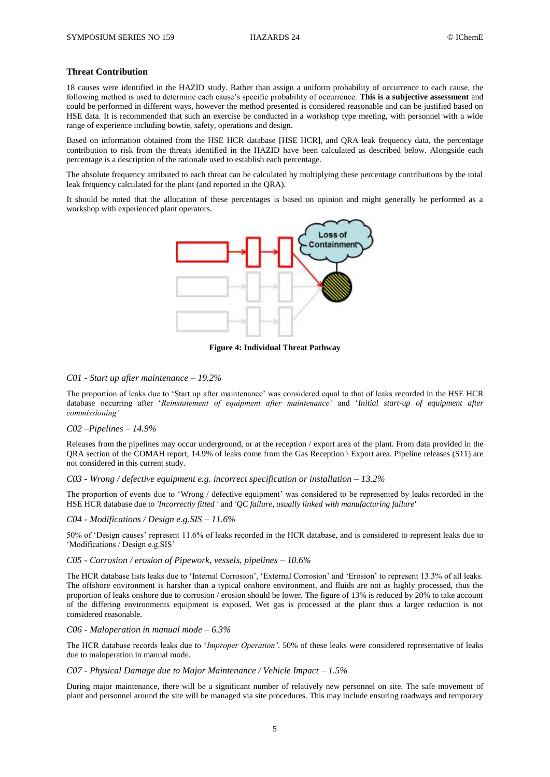## **Threat Contribution**

18 causes were identified in the HAZID study. Rather than assign a uniform probability of occurrence to each cause, the following method is used to determine each cause's specific probability of occurrence. **This is a subjective assessment** and could be performed in different ways, however the method presented is considered reasonable and can be justified based on HSE data. It is recommended that such an exercise be conducted in a workshop type meeting, with personnel with a wide range of experience including bowtie, safety, operations and design.

Based on information obtained from the HSE HCR database [HSE HCR], and QRA leak frequency data, the percentage contribution to risk from the threats identified in the HAZID have been calculated as described below. Alongside each percentage is a description of the rationale used to establish each percentage.

The absolute frequency attributed to each threat can be calculated by multiplying these percentage contributions by the total leak frequency calculated for the plant (and reported in the QRA).

It should be noted that the allocation of these percentages is based on opinion and might generally be performed as a workshop with experienced plant operators.



**Figure 4: Individual Threat Pathway**

## *C01 - Start up after maintenance – 19.2%*

The proportion of leaks due to 'Start up after maintenance' was considered equal to that of leaks recorded in the HSE HCR database occurring after '*Reinstatement of equipment after maintenance'* and '*Initial start-up of equipment after commissioning'*

### *C02 –Pipelines – 14.9%*

Releases from the pipelines may occur underground, or at the reception / export area of the plant. From data provided in the QRA section of the COMAH report, 14.9% of leaks come from the Gas Reception \ Export area. Pipeline releases (S11) are not considered in this current study.

### *C03 - Wrong / defective equipment e.g. incorrect specification or installation – 13.2%*

The proportion of events due to 'Wrong / defective equipment' was considered to be represented by leaks recorded in the HSE HCR database due to *'Incorrectly fitted '* and *'QC failure, usually linked with manufacturing failure'*

### *C04 - Modifications / Design e.g.SIS – 11.6%*

50% of 'Design causes' represent 11.6% of leaks recorded in the HCR database, and is considered to represent leaks due to 'Modifications / Design e.g.SIS'

## *C05 - Corrosion / erosion of Pipework, vessels, pipelines – 10.6%*

The HCR database lists leaks due to 'Internal Corrosion', 'External Corrosion' and 'Erosion' to represent 13.3% of all leaks. The offshore environment is harsher than a typical onshore environment, and fluids are not as highly processed, thus the proportion of leaks onshore due to corrosion / erosion should be lower. The figure of 13% is reduced by 20% to take account of the differing environments equipment is exposed. Wet gas is processed at the plant thus a larger reduction is not considered reasonable.

### *C06 - Maloperation in manual mode – 6.3%*

The HCR database records leaks due to '*Improper Operation'*. 50% of these leaks were considered representative of leaks due to maloperation in manual mode.

## *C07 - Physical Damage due to Major Maintenance / Vehicle Impact – 1.5%*

During major maintenance, there will be a significant number of relatively new personnel on site. The safe movement of plant and personnel around the site will be managed via site procedures. This may include ensuring roadways and temporary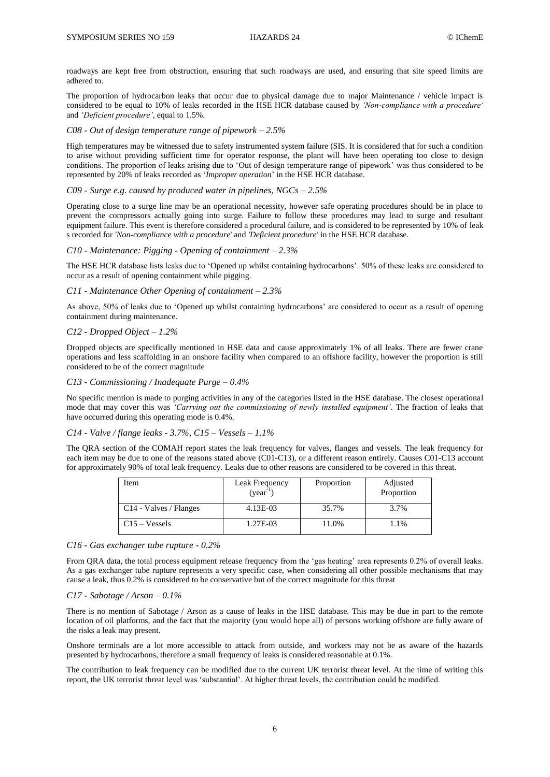roadways are kept free from obstruction, ensuring that such roadways are used, and ensuring that site speed limits are adhered to.

The proportion of hydrocarbon leaks that occur due to physical damage due to major Maintenance / vehicle impact is considered to be equal to 10% of leaks recorded in the HSE HCR database caused by *'Non-compliance with a procedure'* and *'Deficient procedure'*, equal to 1.5%.

### *C08 - Out of design temperature range of pipework – 2.5%*

High temperatures may be witnessed due to safety instrumented system failure (SIS. It is considered that for such a condition to arise without providing sufficient time for operator response, the plant will have been operating too close to design conditions. The proportion of leaks arising due to 'Out of design temperature range of pipework' was thus considered to be represented by 20% of leaks recorded as '*Improper operation*' in the HSE HCR database.

*C09 - Surge e.g. caused by produced water in pipelines, NGCs – 2.5%*

Operating close to a surge line may be an operational necessity, however safe operating procedures should be in place to prevent the compressors actually going into surge. Failure to follow these procedures may lead to surge and resultant equipment failure. This event is therefore considered a procedural failure, and is considered to be represented by 10% of leak s recorded for *'Non-compliance with a procedure*' and *'Deficient procedure'* in the HSE HCR database.

### *C10 - Maintenance: Pigging - Opening of containment – 2.3%*

The HSE HCR database lists leaks due to 'Opened up whilst containing hydrocarbons'. 50% of these leaks are considered to occur as a result of opening containment while pigging.

### *C11 - Maintenance Other Opening of containment – 2.3%*

As above, 50% of leaks due to 'Opened up whilst containing hydrocarbons' are considered to occur as a result of opening containment during maintenance.

### *C12 - Dropped Object – 1.2%*

Dropped objects are specifically mentioned in HSE data and cause approximately 1% of all leaks. There are fewer crane operations and less scaffolding in an onshore facility when compared to an offshore facility, however the proportion is still considered to be of the correct magnitude

#### *C13 - Commissioning / Inadequate Purge – 0.4%*

No specific mention is made to purging activities in any of the categories listed in the HSE database. The closest operational mode that may cover this was *'Carrying out the commissioning of newly installed equipment'*. The fraction of leaks that have occurred during this operating mode is 0.4%.

# *C14 - Valve / flange leaks - 3.7%, C15 – Vessels – 1.1%*

The QRA section of the COMAH report states the leak frequency for valves, flanges and vessels. The leak frequency for each item may be due to one of the reasons stated above (C01-C13), or a different reason entirely. Causes C01-C13 account for approximately 90% of total leak frequency. Leaks due to other reasons are considered to be covered in this threat.

| Item                               | Leak Frequency<br>$(year^{-1})$ | Proportion | Adjusted<br>Proportion |
|------------------------------------|---------------------------------|------------|------------------------|
| C <sub>14</sub> - Valves / Flanges | 4.13E-03                        | 35.7%      | 3.7%                   |
| $C15 - Vessels$                    | 1.27E-03                        | 11.0%      | 1.1%                   |

### *C16 - Gas exchanger tube rupture - 0.2%*

From QRA data, the total process equipment release frequency from the 'gas heating' area represents 0.2% of overall leaks. As a gas exchanger tube rupture represents a very specific case, when considering all other possible mechanisms that may cause a leak, thus 0.2% is considered to be conservative but of the correct magnitude for this threat

#### *C17 - Sabotage / Arson – 0.1%*

There is no mention of Sabotage / Arson as a cause of leaks in the HSE database. This may be due in part to the remote location of oil platforms, and the fact that the majority (you would hope all) of persons working offshore are fully aware of the risks a leak may present.

Onshore terminals are a lot more accessible to attack from outside, and workers may not be as aware of the hazards presented by hydrocarbons, therefore a small frequency of leaks is considered reasonable at 0.1%.

The contribution to leak frequency can be modified due to the current UK terrorist threat level. At the time of writing this report, the UK terrorist threat level was 'substantial'. At higher threat levels, the contribution could be modified.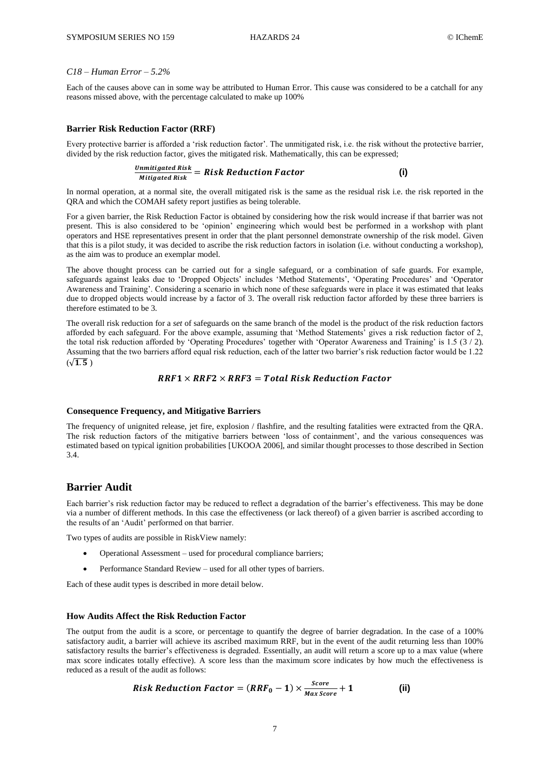### *C18 – Human Error – 5.2%*

Each of the causes above can in some way be attributed to Human Error. This cause was considered to be a catchall for any reasons missed above, with the percentage calculated to make up 100%

#### **Barrier Risk Reduction Factor (RRF)**

Every protective barrier is afforded a 'risk reduction factor'. The unmitigated risk, i.e. the risk without the protective barrier, divided by the risk reduction factor, gives the mitigated risk. Mathematically, this can be expressed;

$$
\frac{Unmitigated\ Risk}{Mitigated\ Risk\ Reduction\ Factor}
$$
 (i)

In normal operation, at a normal site, the overall mitigated risk is the same as the residual risk i.e. the risk reported in the QRA and which the COMAH safety report justifies as being tolerable.

For a given barrier, the Risk Reduction Factor is obtained by considering how the risk would increase if that barrier was not present. This is also considered to be 'opinion' engineering which would best be performed in a workshop with plant operators and HSE representatives present in order that the plant personnel demonstrate ownership of the risk model. Given that this is a pilot study, it was decided to ascribe the risk reduction factors in isolation (i.e. without conducting a workshop), as the aim was to produce an exemplar model.

The above thought process can be carried out for a single safeguard, or a combination of safe guards. For example, safeguards against leaks due to 'Dropped Objects' includes 'Method Statements', 'Operating Procedures' and 'Operator Awareness and Training'. Considering a scenario in which none of these safeguards were in place it was estimated that leaks due to dropped objects would increase by a factor of 3. The overall risk reduction factor afforded by these three barriers is therefore estimated to be 3.

The overall risk reduction for a *set* of safeguards on the same branch of the model is the product of the risk reduction factors afforded by each safeguard. For the above example, assuming that 'Method Statements' gives a risk reduction factor of 2, the total risk reduction afforded by 'Operating Procedures' together with 'Operator Awareness and Training' is 1.5 (3 / 2). Assuming that the two barriers afford equal risk reduction, each of the latter two barrier's risk reduction factor would be 1.22  $(\sqrt{1.5})$ 

# $RRF1 \times RRF2 \times RRF3 = Total Risk Reduction Factor$

### **Consequence Frequency, and Mitigative Barriers**

The frequency of unignited release, jet fire, explosion / flashfire, and the resulting fatalities were extracted from the QRA. The risk reduction factors of the mitigative barriers between 'loss of containment', and the various consequences was estimated based on typical ignition probabilities [UKOOA 2006], and similar thought processes to those described in Section 3.4.

# **Barrier Audit**

Each barrier's risk reduction factor may be reduced to reflect a degradation of the barrier's effectiveness. This may be done via a number of different methods. In this case the effectiveness (or lack thereof) of a given barrier is ascribed according to the results of an 'Audit' performed on that barrier.

Two types of audits are possible in RiskView namely:

- Operational Assessment used for procedural compliance barriers;
- Performance Standard Review used for all other types of barriers.

Each of these audit types is described in more detail below.

### **How Audits Affect the Risk Reduction Factor**

The output from the audit is a score, or percentage to quantify the degree of barrier degradation. In the case of a 100% satisfactory audit, a barrier will achieve its ascribed maximum RRF, but in the event of the audit returning less than 100% satisfactory results the barrier's effectiveness is degraded. Essentially, an audit will return a score up to a max value (where max score indicates totally effective). A score less than the maximum score indicates by how much the effectiveness is reduced as a result of the audit as follows:

Risk Reduction Factor = 
$$
(RRF_0 - 1) \times \frac{Score}{MaxScore} + 1
$$
 (ii)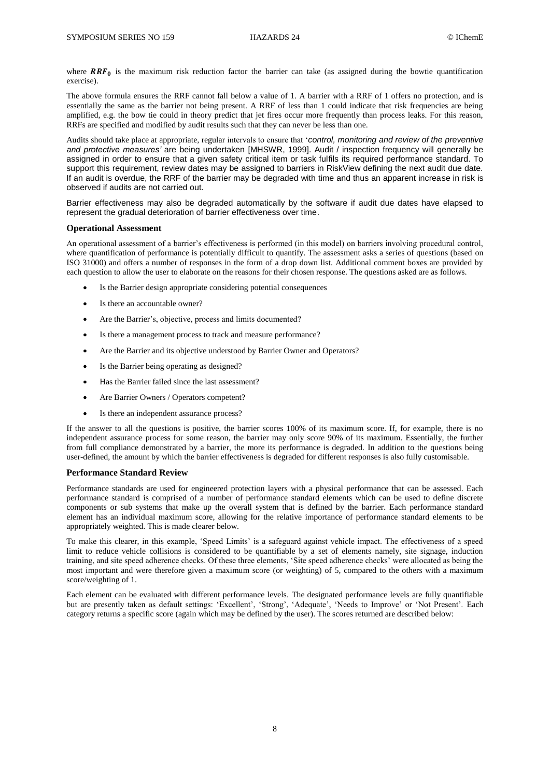where  $RRF_0$  is the maximum risk reduction factor the barrier can take (as assigned during the bowtie quantification exercise).

The above formula ensures the RRF cannot fall below a value of 1. A barrier with a RRF of 1 offers no protection, and is essentially the same as the barrier not being present. A RRF of less than 1 could indicate that risk frequencies are being amplified, e.g. the bow tie could in theory predict that jet fires occur more frequently than process leaks. For this reason, RRFs are specified and modified by audit results such that they can never be less than one.

Audits should take place at appropriate, regular intervals to ensure that '*control, monitoring and review of the preventive and protective measures'* are being undertaken [MHSWR, 1999]. Audit / inspection frequency will generally be assigned in order to ensure that a given safety critical item or task fulfils its required performance standard. To support this requirement, review dates may be assigned to barriers in RiskView defining the next audit due date. If an audit is overdue, the RRF of the barrier may be degraded with time and thus an apparent increase in risk is observed if audits are not carried out.

Barrier effectiveness may also be degraded automatically by the software if audit due dates have elapsed to represent the gradual deterioration of barrier effectiveness over time.

### **Operational Assessment**

An operational assessment of a barrier's effectiveness is performed (in this model) on barriers involving procedural control, where quantification of performance is potentially difficult to quantify. The assessment asks a series of questions (based on ISO 31000) and offers a number of responses in the form of a drop down list. Additional comment boxes are provided by each question to allow the user to elaborate on the reasons for their chosen response. The questions asked are as follows.

- Is the Barrier design appropriate considering potential consequences
- Is there an accountable owner?
- Are the Barrier's, objective, process and limits documented?
- Is there a management process to track and measure performance?
- Are the Barrier and its objective understood by Barrier Owner and Operators?
- Is the Barrier being operating as designed?
- Has the Barrier failed since the last assessment?
- Are Barrier Owners / Operators competent?
- Is there an independent assurance process?

If the answer to all the questions is positive, the barrier scores 100% of its maximum score. If, for example, there is no independent assurance process for some reason, the barrier may only score 90% of its maximum. Essentially, the further from full compliance demonstrated by a barrier, the more its performance is degraded. In addition to the questions being user-defined, the amount by which the barrier effectiveness is degraded for different responses is also fully customisable.

### **Performance Standard Review**

Performance standards are used for engineered protection layers with a physical performance that can be assessed. Each performance standard is comprised of a number of performance standard elements which can be used to define discrete components or sub systems that make up the overall system that is defined by the barrier. Each performance standard element has an individual maximum score, allowing for the relative importance of performance standard elements to be appropriately weighted. This is made clearer below.

To make this clearer, in this example, 'Speed Limits' is a safeguard against vehicle impact. The effectiveness of a speed limit to reduce vehicle collisions is considered to be quantifiable by a set of elements namely, site signage, induction training, and site speed adherence checks. Of these three elements, 'Site speed adherence checks' were allocated as being the most important and were therefore given a maximum score (or weighting) of 5, compared to the others with a maximum score/weighting of 1.

Each element can be evaluated with different performance levels. The designated performance levels are fully quantifiable but are presently taken as default settings: 'Excellent', 'Strong', 'Adequate', 'Needs to Improve' or 'Not Present'. Each category returns a specific score (again which may be defined by the user). The scores returned are described below: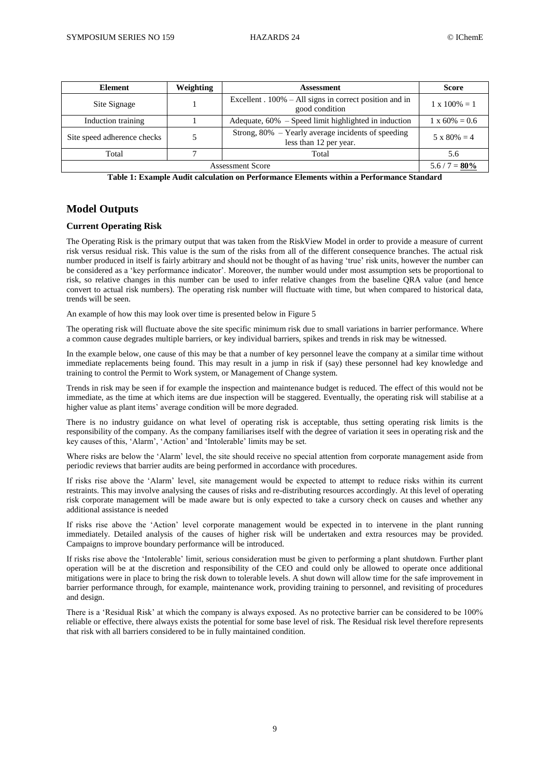| Element                                                                                                     | Weighting | Assessment                                                                  | Score                 |
|-------------------------------------------------------------------------------------------------------------|-----------|-----------------------------------------------------------------------------|-----------------------|
| Site Signage                                                                                                |           | Excellent $.100\% - All signs in correct position and in$<br>good condition | $1 \times 100\% = 1$  |
| Induction training                                                                                          |           | Adequate, $60\%$ – Speed limit highlighted in induction                     | $1 \times 60\% = 0.6$ |
| Strong, 80% – Yearly average incidents of speeding<br>Site speed adherence checks<br>less than 12 per year. |           | $5 \times 80\% = 4$                                                         |                       |
| Total                                                                                                       |           | Total                                                                       | 5.6                   |
| <b>Assessment Score</b>                                                                                     |           |                                                                             | $5.6 / 7 = 80\%$      |

**Table 1: Example Audit calculation on Performance Elements within a Performance Standard**

# **Model Outputs**

# **Current Operating Risk**

The Operating Risk is the primary output that was taken from the RiskView Model in order to provide a measure of current risk versus residual risk. This value is the sum of the risks from all of the different consequence branches. The actual risk number produced in itself is fairly arbitrary and should not be thought of as having 'true' risk units, however the number can be considered as a 'key performance indicator'. Moreover, the number would under most assumption sets be proportional to risk, so relative changes in this number can be used to infer relative changes from the baseline QRA value (and hence convert to actual risk numbers). The operating risk number will fluctuate with time, but when compared to historical data, trends will be seen.

An example of how this may look over time is presented below in Figure 5

The operating risk will fluctuate above the site specific minimum risk due to small variations in barrier performance. Where a common cause degrades multiple barriers, or key individual barriers, spikes and trends in risk may be witnessed.

In the example below, one cause of this may be that a number of key personnel leave the company at a similar time without immediate replacements being found. This may result in a jump in risk if (say) these personnel had key knowledge and training to control the Permit to Work system, or Management of Change system.

Trends in risk may be seen if for example the inspection and maintenance budget is reduced. The effect of this would not be immediate, as the time at which items are due inspection will be staggered. Eventually, the operating risk will stabilise at a higher value as plant items' average condition will be more degraded.

There is no industry guidance on what level of operating risk is acceptable, thus setting operating risk limits is the responsibility of the company. As the company familiarises itself with the degree of variation it sees in operating risk and the key causes of this, 'Alarm', 'Action' and 'Intolerable' limits may be set.

Where risks are below the 'Alarm' level, the site should receive no special attention from corporate management aside from periodic reviews that barrier audits are being performed in accordance with procedures.

If risks rise above the 'Alarm' level, site management would be expected to attempt to reduce risks within its current restraints. This may involve analysing the causes of risks and re-distributing resources accordingly. At this level of operating risk corporate management will be made aware but is only expected to take a cursory check on causes and whether any additional assistance is needed

If risks rise above the 'Action' level corporate management would be expected in to intervene in the plant running immediately. Detailed analysis of the causes of higher risk will be undertaken and extra resources may be provided. Campaigns to improve boundary performance will be introduced.

If risks rise above the 'Intolerable' limit, serious consideration must be given to performing a plant shutdown. Further plant operation will be at the discretion and responsibility of the CEO and could only be allowed to operate once additional mitigations were in place to bring the risk down to tolerable levels. A shut down will allow time for the safe improvement in barrier performance through, for example, maintenance work, providing training to personnel, and revisiting of procedures and design.

There is a 'Residual Risk' at which the company is always exposed. As no protective barrier can be considered to be 100% reliable or effective, there always exists the potential for some base level of risk. The Residual risk level therefore represents that risk with all barriers considered to be in fully maintained condition.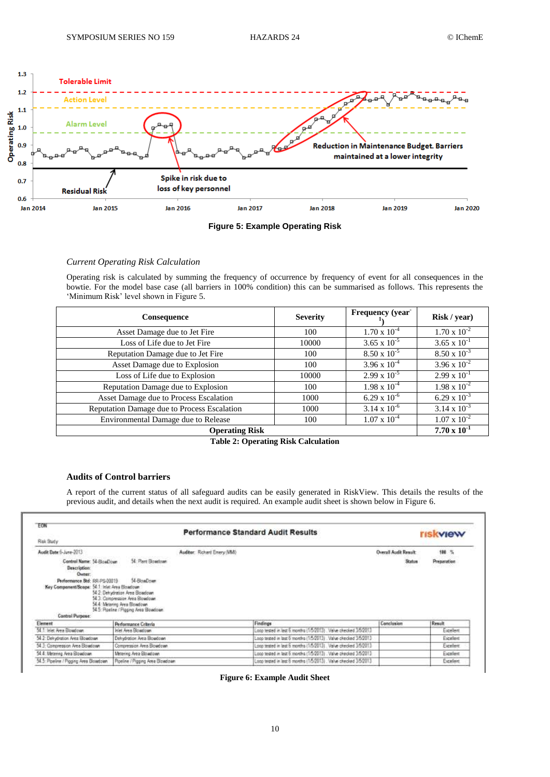



# *Current Operating Risk Calculation*

Operating risk is calculated by summing the frequency of occurrence by frequency of event for all consequences in the bowtie. For the model base case (all barriers in 100% condition) this can be summarised as follows. This represents the 'Minimum Risk' level shown in Figure 5.

| Consequence                                 | <b>Severity</b>       | Frequency (year       | Risk / year)          |
|---------------------------------------------|-----------------------|-----------------------|-----------------------|
| Asset Damage due to Jet Fire                | 100                   | $1.70 \times 10^{-4}$ | $1.70 \times 10^{-2}$ |
| Loss of Life due to Jet Fire                | 10000                 | $3.65 \times 10^{-5}$ | $3.65 \times 10^{-1}$ |
| Reputation Damage due to Jet Fire           | 100                   | $8.50 \times 10^{-5}$ | $8.50 \times 10^{-3}$ |
| Asset Damage due to Explosion               | 100                   | $3.96 \times 10^{-4}$ | $3.96 \times 10^{-2}$ |
| Loss of Life due to Explosion               | 10000                 | $2.99 \times 10^{-5}$ | $2.99 \times 10^{-1}$ |
| Reputation Damage due to Explosion          | 100                   | $1.98 \times 10^{-4}$ | $1.98 \times 10^{-2}$ |
| Asset Damage due to Process Escalation      | 1000                  | $6.29 \times 10^{-6}$ | $6.29 \times 10^{-3}$ |
| Reputation Damage due to Process Escalation | 1000                  | $3.14 \times 10^{-6}$ | $3.14 \times 10^{-3}$ |
| Environmental Damage due to Release         | 100                   | $1.07 \times 10^{-4}$ | $1.07 \times 10^{-2}$ |
| <b>Operating Risk</b>                       | $7.70 \times 10^{-1}$ |                       |                       |

**Table 2: Operating Risk Calculation**

# **Audits of Control barriers**

A report of the current status of all safeguard audits can be easily generated in RiskView. This details the results of the previous audit, and details when the next audit is required. An example audit sheet is shown below in Figure 6.

| EON                                                                                               |                                                                                                                                                              |                             | <b>Performance Standard Audit Results</b>                        |                             | <b>riskview</b> |
|---------------------------------------------------------------------------------------------------|--------------------------------------------------------------------------------------------------------------------------------------------------------------|-----------------------------|------------------------------------------------------------------|-----------------------------|-----------------|
| Risk Stady                                                                                        |                                                                                                                                                              |                             |                                                                  |                             |                 |
| Audit Date 6-June-2013                                                                            |                                                                                                                                                              | Auditor: Richard Emery (MM) |                                                                  | <b>Overall Audit Result</b> | 100 %           |
| Centrol Name: 54-BloadJown<br>Description:<br>Owner:                                              | 54 Flant Bowtown                                                                                                                                             |                             |                                                                  | <b>Status</b>               | Preparation     |
| Performance Std: RR-PS-00019<br>Key Component/Scope: 54.1 Inlet Area Elowdown<br>Control Purpose: | 54-ElowDown<br>54.2: Dehydration Area Blowdown<br>54 3: Contoresaion Area Blowdown<br>54.4: Mintennio Area Blowdown<br>54.5: Roeline / Pigging Area Blowdown |                             |                                                                  |                             |                 |
| Element                                                                                           | Performance Criteria                                                                                                                                         |                             | Findings                                                         | Conclusion                  | Result          |
| 54 1 Inlet Aves Blowdown                                                                          | Inlet Area Blowdown                                                                                                                                          |                             | Loco tested in lest 6 months (1/5/2013). Value checked 3/5/2013  |                             | Excellent       |
| 54.2: Delrydration Area Elowdown                                                                  | Dehydration Area Blowdown                                                                                                                                    |                             | Laco tested in last 6 months (15/2913). Valve checked 3/5/2013   |                             | Excellent       |
| 54.3: Compression Area Eloudown                                                                   | Compression Area Blowdown                                                                                                                                    |                             | Loop tested in last 6 months (1/5/2013). Valve checked 3/5/2013. |                             | Expellent       |
| 54.4: Metering Area Blowdown                                                                      | Meteoria Area Blowdown                                                                                                                                       |                             | Loco tested in last 6 months (1/5/2013) . Valve checked 3/5/2013 |                             | Excellent       |
| 54.5 Poeine / Pigging Area Bowdown                                                                | Roeline / Pigging Area Blowdown                                                                                                                              |                             | Loco tested in lest 6 months (1/5/2013) Valve checked 3/5/2013   |                             | Excellent       |
|                                                                                                   |                                                                                                                                                              |                             |                                                                  |                             |                 |

**Figure 6: Example Audit Sheet**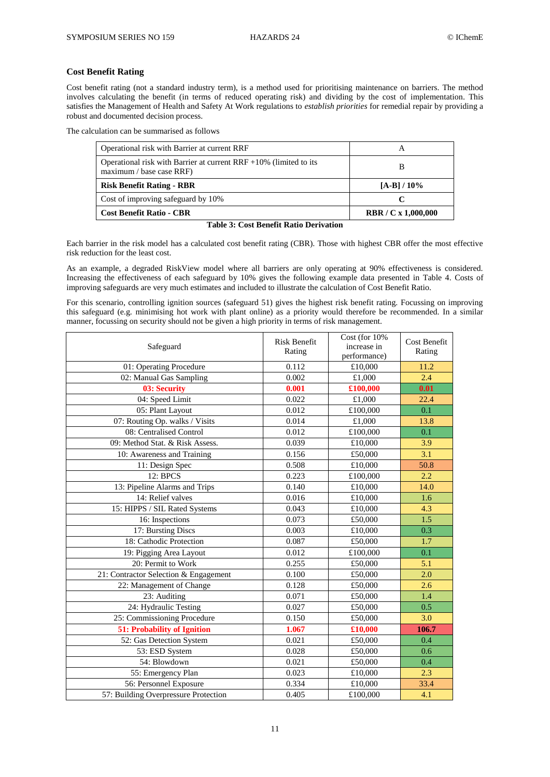## **Cost Benefit Rating**

Cost benefit rating (not a standard industry term), is a method used for prioritising maintenance on barriers. The method involves calculating the benefit (in terms of reduced operating risk) and dividing by the cost of implementation. This satisfies the Management of Health and Safety At Work regulations to *establish priorities* for remedial repair by providing a robust and documented decision process.

The calculation can be summarised as follows

| Operational risk with Barrier at current RRF                                                      |                            |
|---------------------------------------------------------------------------------------------------|----------------------------|
| Operational risk with Barrier at current $RRF + 10\%$ (limited to its<br>maximum / base case RRF) |                            |
| <b>Risk Benefit Rating - RBR</b>                                                                  | $[A-B]/10%$                |
| Cost of improving safeguard by 10%                                                                |                            |
| <b>Cost Benefit Ratio - CBR</b>                                                                   | <b>RBR</b> / C x 1,000,000 |

#### **Table 3: Cost Benefit Ratio Derivation**

Each barrier in the risk model has a calculated cost benefit rating (CBR). Those with highest CBR offer the most effective risk reduction for the least cost.

As an example, a degraded RiskView model where all barriers are only operating at 90% effectiveness is considered. Increasing the effectiveness of each safeguard by 10% gives the following example data presented in Table 4. Costs of improving safeguards are very much estimates and included to illustrate the calculation of Cost Benefit Ratio.

For this scenario, controlling ignition sources (safeguard 51) gives the highest risk benefit rating. Focussing on improving this safeguard (e.g. minimising hot work with plant online) as a priority would therefore be recommended. In a similar manner, focussing on security should not be given a high priority in terms of risk management.

| Safeguard                             | <b>Risk Benefit</b><br>Rating | Cost (for 10%<br>increase in<br>performance) | <b>Cost Benefit</b><br>Rating |
|---------------------------------------|-------------------------------|----------------------------------------------|-------------------------------|
| 01: Operating Procedure               | 0.112                         | £10,000                                      | 11.2                          |
| 02: Manual Gas Sampling               | 0.002                         | £1,000                                       | 2.4                           |
| 03: Security                          | 0.001                         | £100,000                                     | 0.01                          |
| 04: Speed Limit                       | 0.022                         | £1,000                                       | 22.4                          |
| 05: Plant Layout                      | 0.012                         | £100,000                                     | 0.1                           |
| 07: Routing Op. walks / Visits        | 0.014                         | £1,000                                       | 13.8                          |
| 08: Centralised Control               | 0.012                         | £100,000                                     | 0.1                           |
| 09: Method Stat. & Risk Assess.       | 0.039                         | £10,000                                      | 3.9                           |
| 10: Awareness and Training            | 0.156                         | £50,000                                      | $\overline{3.1}$              |
| 11: Design Spec                       | 0.508                         | £10,000                                      | 50.8                          |
| 12: BPCS                              | 0.223                         | £100,000                                     | 2.2                           |
| 13: Pipeline Alarms and Trips         | 0.140                         | £10,000                                      | 14.0                          |
| 14: Relief valves                     | 0.016                         | £10,000                                      | 1.6                           |
| 15: HIPPS / SIL Rated Systems         | 0.043                         | £10,000                                      | 4.3                           |
| 16: Inspections                       | 0.073                         | £50,000                                      | 1.5                           |
| 17: Bursting Discs                    | 0.003                         | £10,000                                      | 0.3                           |
| 18: Cathodic Protection               | 0.087                         | £50,000                                      | 1.7                           |
| 19: Pigging Area Layout               | 0.012                         | £100,000                                     | 0.1                           |
| 20: Permit to Work                    | 0.255                         | £50,000                                      | 5.1                           |
| 21: Contractor Selection & Engagement | 0.100                         | £50,000                                      | 2.0                           |
| 22: Management of Change              | 0.128                         | £50,000                                      | 2.6                           |
| 23: Auditing                          | 0.071                         | £50,000                                      | 1.4                           |
| 24: Hydraulic Testing                 | 0.027                         | £50,000                                      | 0.5                           |
| 25: Commissioning Procedure           | 0.150                         | £50,000                                      | 3.0                           |
| 51: Probability of Ignition           | 1.067                         | £10,000                                      | 106.7                         |
| 52: Gas Detection System              | 0.021                         | £50,000                                      | 0.4                           |
| 53: ESD System                        | 0.028                         | £50,000                                      | 0.6                           |
| 54: Blowdown                          | 0.021                         | £50,000                                      | 0.4                           |
| 55: Emergency Plan                    | 0.023                         | £10,000                                      | 2.3                           |
| 56: Personnel Exposure                | 0.334                         | £10,000                                      | 33.4                          |
| 57: Building Overpressure Protection  | 0.405                         | £100,000                                     | 4.1                           |